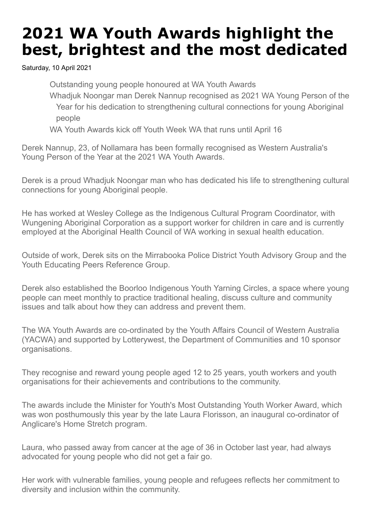## **2021 WA Youth Awards highlight the best, brightest and the most dedicated**

Saturday, 10 April 2021

Outstanding young people honoured at WA Youth Awards

Whadjuk Noongar man Derek Nannup recognised as 2021 WA Young Person of the Year for his dedication to strengthening cultural connections for young Aboriginal people

WA Youth Awards kick off Youth Week WA that runs until April 16

Derek Nannup, 23, of Nollamara has been formally recognised as Western Australia's Young Person of the Year at the 2021 WA Youth Awards.

Derek is a proud Whadjuk Noongar man who has dedicated his life to strengthening cultural connections for young Aboriginal people.

He has worked at Wesley College as the Indigenous Cultural Program Coordinator, with Wungening Aboriginal Corporation as a support worker for children in care and is currently employed at the Aboriginal Health Council of WA working in sexual health education.

Outside of work, Derek sits on the Mirrabooka Police District Youth Advisory Group and the Youth Educating Peers Reference Group.

Derek also established the Boorloo Indigenous Youth Yarning Circles, a space where young people can meet monthly to practice traditional healing, discuss culture and community issues and talk about how they can address and prevent them.

The WA Youth Awards are co-ordinated by the Youth Affairs Council of Western Australia (YACWA) and supported by Lotterywest, the Department of Communities and 10 sponsor organisations.

They recognise and reward young people aged 12 to 25 years, youth workers and youth organisations for their achievements and contributions to the community.

The awards include the Minister for Youth's Most Outstanding Youth Worker Award, which was won posthumously this year by the late Laura Florisson, an inaugural co-ordinator of Anglicare's Home Stretch program.

Laura, who passed away from cancer at the age of 36 in October last year, had always advocated for young people who did not get a fair go.

Her work with vulnerable families, young people and refugees reflects her commitment to diversity and inclusion within the community.